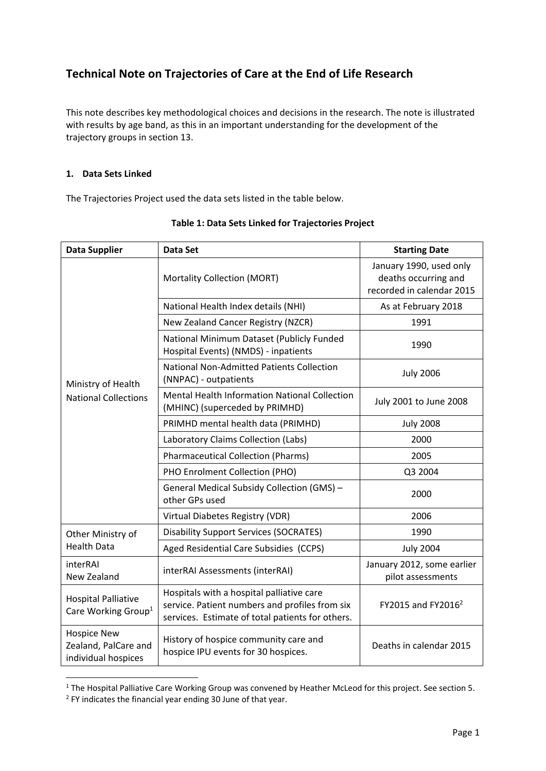# **Technical Note on Trajectories of Care at the End of Life Research**

This note describes key methodological choices and decisions in the research. The note is illustrated with results by age band, as this in an important understanding for the development of the trajectory groups in section 13.

#### **1. Data Sets Linked**

The Trajectories Project used the data sets listed in the table below.

| <b>Data Supplier</b>                                              | <b>Data Set</b>                                                                                                                                 | <b>Starting Date</b>                                                         |
|-------------------------------------------------------------------|-------------------------------------------------------------------------------------------------------------------------------------------------|------------------------------------------------------------------------------|
| Ministry of Health<br><b>National Collections</b>                 | <b>Mortality Collection (MORT)</b>                                                                                                              | January 1990, used only<br>deaths occurring and<br>recorded in calendar 2015 |
|                                                                   | National Health Index details (NHI)                                                                                                             | As at February 2018                                                          |
|                                                                   | New Zealand Cancer Registry (NZCR)                                                                                                              | 1991                                                                         |
|                                                                   | National Minimum Dataset (Publicly Funded<br>Hospital Events) (NMDS) - inpatients                                                               | 1990                                                                         |
|                                                                   | <b>National Non-Admitted Patients Collection</b><br>(NNPAC) - outpatients                                                                       | <b>July 2006</b>                                                             |
|                                                                   | Mental Health Information National Collection<br>(MHINC) (superceded by PRIMHD)                                                                 | July 2001 to June 2008                                                       |
|                                                                   | PRIMHD mental health data (PRIMHD)                                                                                                              | <b>July 2008</b>                                                             |
|                                                                   | Laboratory Claims Collection (Labs)                                                                                                             | 2000                                                                         |
|                                                                   | <b>Pharmaceutical Collection (Pharms)</b>                                                                                                       | 2005                                                                         |
|                                                                   | PHO Enrolment Collection (PHO)                                                                                                                  | Q3 2004                                                                      |
|                                                                   | General Medical Subsidy Collection (GMS) -<br>other GPs used                                                                                    | 2000                                                                         |
|                                                                   | Virtual Diabetes Registry (VDR)                                                                                                                 | 2006                                                                         |
| Other Ministry of<br><b>Health Data</b>                           | <b>Disability Support Services (SOCRATES)</b>                                                                                                   | 1990                                                                         |
|                                                                   | Aged Residential Care Subsidies (CCPS)                                                                                                          | <b>July 2004</b>                                                             |
| interRAI<br>New Zealand                                           | interRAI Assessments (interRAI)                                                                                                                 | January 2012, some earlier<br>pilot assessments                              |
| <b>Hospital Palliative</b><br>Care Working Group <sup>1</sup>     | Hospitals with a hospital palliative care<br>service. Patient numbers and profiles from six<br>services. Estimate of total patients for others. | FY2015 and FY2016 <sup>2</sup>                                               |
| <b>Hospice New</b><br>Zealand, PalCare and<br>individual hospices | History of hospice community care and<br>hospice IPU events for 30 hospices.                                                                    | Deaths in calendar 2015                                                      |

**Table 1: Data Sets Linked for Trajectories Project** 

<sup>&</sup>lt;sup>1</sup> The Hospital Palliative Care Working Group was convened by Heather McLeod for this project. See section 5.

<sup>&</sup>lt;sup>2</sup> FY indicates the financial year ending 30 June of that year.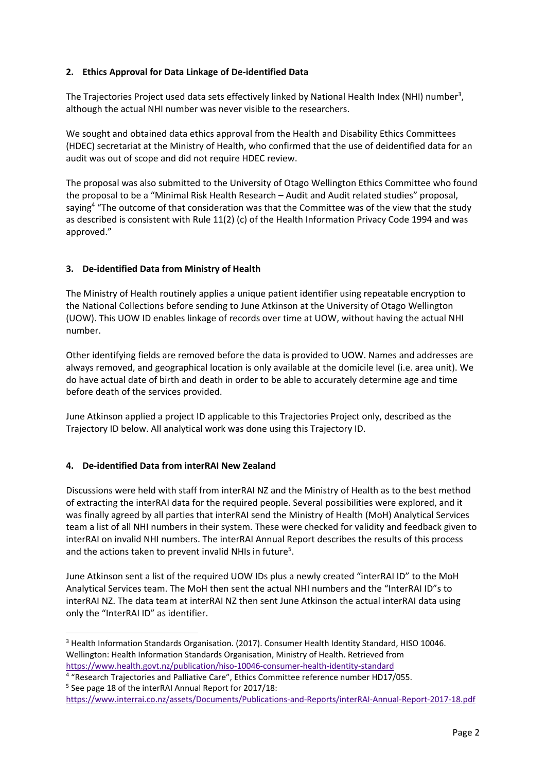# **2. Ethics Approval for Data Linkage of De‐identified Data**

The Trajectories Project used data sets effectively linked by National Health Index (NHI) number<sup>3</sup>, although the actual NHI number was never visible to the researchers.

We sought and obtained data ethics approval from the Health and Disability Ethics Committees (HDEC) secretariat at the Ministry of Health, who confirmed that the use of deidentified data for an audit was out of scope and did not require HDEC review.

The proposal was also submitted to the University of Otago Wellington Ethics Committee who found the proposal to be a "Minimal Risk Health Research – Audit and Audit related studies" proposal, saying<sup>4</sup> "The outcome of that consideration was that the Committee was of the view that the study as described is consistent with Rule 11(2) (c) of the Health Information Privacy Code 1994 and was approved."

#### **3. De‐identified Data from Ministry of Health**

The Ministry of Health routinely applies a unique patient identifier using repeatable encryption to the National Collections before sending to June Atkinson at the University of Otago Wellington (UOW). This UOW ID enables linkage of records over time at UOW, without having the actual NHI number.

Other identifying fields are removed before the data is provided to UOW. Names and addresses are always removed, and geographical location is only available at the domicile level (i.e. area unit). We do have actual date of birth and death in order to be able to accurately determine age and time before death of the services provided.

June Atkinson applied a project ID applicable to this Trajectories Project only, described as the Trajectory ID below. All analytical work was done using this Trajectory ID.

#### **4. De‐identified Data from interRAI New Zealand**

Discussions were held with staff from interRAI NZ and the Ministry of Health as to the best method of extracting the interRAI data for the required people. Several possibilities were explored, and it was finally agreed by all parties that interRAI send the Ministry of Health (MoH) Analytical Services team a list of all NHI numbers in their system. These were checked for validity and feedback given to interRAI on invalid NHI numbers. The interRAI Annual Report describes the results of this process and the actions taken to prevent invalid NHIs in future<sup>5</sup>.

June Atkinson sent a list of the required UOW IDs plus a newly created "interRAI ID" to the MoH Analytical Services team. The MoH then sent the actual NHI numbers and the "InterRAI ID"s to interRAI NZ. The data team at interRAI NZ then sent June Atkinson the actual interRAI data using only the "InterRAI ID" as identifier.

 <sup>3</sup> Health Information Standards Organisation. (2017). Consumer Health Identity Standard, HISO 10046. Wellington: Health Information Standards Organisation, Ministry of Health. Retrieved from https://www.health.govt.nz/publication/hiso‐10046‐consumer‐health‐identity‐standard

<sup>&</sup>lt;sup>4</sup> "Research Trajectories and Palliative Care", Ethics Committee reference number HD17/055. 5 See page 18 of the interRAI Annual Report for 2017/18:

https://www.interrai.co.nz/assets/Documents/Publications‐and‐Reports/interRAI‐Annual‐Report‐2017‐18.pdf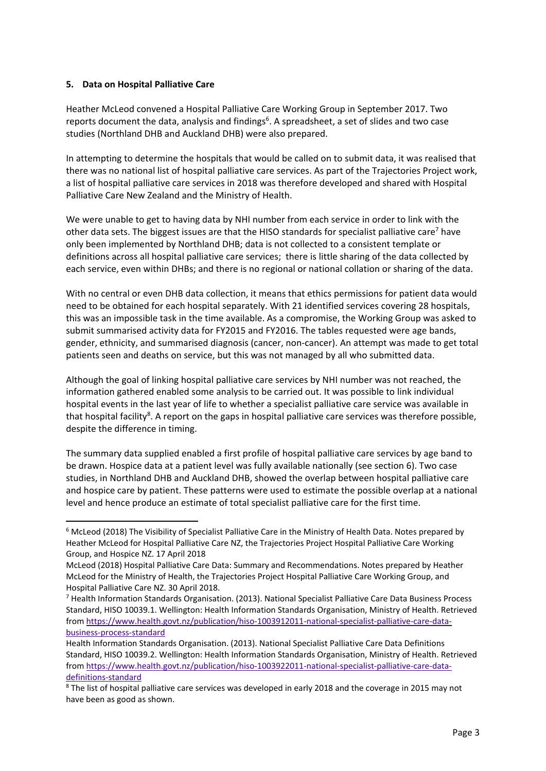#### **5. Data on Hospital Palliative Care**

Heather McLeod convened a Hospital Palliative Care Working Group in September 2017. Two reports document the data, analysis and findings<sup>6</sup>. A spreadsheet, a set of slides and two case studies (Northland DHB and Auckland DHB) were also prepared.

In attempting to determine the hospitals that would be called on to submit data, it was realised that there was no national list of hospital palliative care services. As part of the Trajectories Project work, a list of hospital palliative care services in 2018 was therefore developed and shared with Hospital Palliative Care New Zealand and the Ministry of Health.

We were unable to get to having data by NHI number from each service in order to link with the other data sets. The biggest issues are that the HISO standards for specialist palliative care<sup>7</sup> have only been implemented by Northland DHB; data is not collected to a consistent template or definitions across all hospital palliative care services; there is little sharing of the data collected by each service, even within DHBs; and there is no regional or national collation or sharing of the data.

With no central or even DHB data collection, it means that ethics permissions for patient data would need to be obtained for each hospital separately. With 21 identified services covering 28 hospitals, this was an impossible task in the time available. As a compromise, the Working Group was asked to submit summarised activity data for FY2015 and FY2016. The tables requested were age bands, gender, ethnicity, and summarised diagnosis (cancer, non-cancer). An attempt was made to get total patients seen and deaths on service, but this was not managed by all who submitted data.

Although the goal of linking hospital palliative care services by NHI number was not reached, the information gathered enabled some analysis to be carried out. It was possible to link individual hospital events in the last year of life to whether a specialist palliative care service was available in that hospital facility<sup>8</sup>. A report on the gaps in hospital palliative care services was therefore possible, despite the difference in timing.

The summary data supplied enabled a first profile of hospital palliative care services by age band to be drawn. Hospice data at a patient level was fully available nationally (see section 6). Two case studies, in Northland DHB and Auckland DHB, showed the overlap between hospital palliative care and hospice care by patient. These patterns were used to estimate the possible overlap at a national level and hence produce an estimate of total specialist palliative care for the first time.

 <sup>6</sup> McLeod (2018) The Visibility of Specialist Palliative Care in the Ministry of Health Data. Notes prepared by Heather McLeod for Hospital Palliative Care NZ, the Trajectories Project Hospital Palliative Care Working Group, and Hospice NZ. 17 April 2018

McLeod (2018) Hospital Palliative Care Data: Summary and Recommendations. Notes prepared by Heather McLeod for the Ministry of Health, the Trajectories Project Hospital Palliative Care Working Group, and Hospital Palliative Care NZ. 30 April 2018.

<sup>7</sup> Health Information Standards Organisation. (2013). National Specialist Palliative Care Data Business Process Standard, HISO 10039.1. Wellington: Health Information Standards Organisation, Ministry of Health. Retrieved from https://www.health.govt.nz/publication/hiso-1003912011-national-specialist-palliative-care-databusiness‐process‐standard

Health Information Standards Organisation. (2013). National Specialist Palliative Care Data Definitions Standard, HISO 10039.2. Wellington: Health Information Standards Organisation, Ministry of Health. Retrieved from https://www.health.govt.nz/publication/hiso-1003922011-national-specialist-palliative-care-datadefinitions‐standard

<sup>&</sup>lt;sup>8</sup> The list of hospital palliative care services was developed in early 2018 and the coverage in 2015 may not have been as good as shown.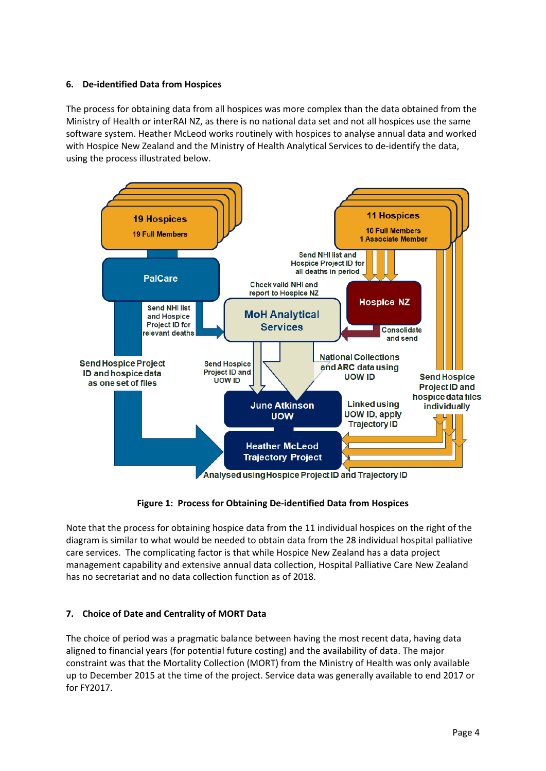#### **6. De‐identified Data from Hospices**

The process for obtaining data from all hospices was more complex than the data obtained from the Ministry of Health or interRAI NZ, as there is no national data set and not all hospices use the same software system. Heather McLeod works routinely with hospices to analyse annual data and worked with Hospice New Zealand and the Ministry of Health Analytical Services to de-identify the data, using the process illustrated below.



**Figure 1: Process for Obtaining De‐identified Data from Hospices** 

Note that the process for obtaining hospice data from the 11 individual hospices on the right of the diagram is similar to what would be needed to obtain data from the 28 individual hospital palliative care services. The complicating factor is that while Hospice New Zealand has a data project management capability and extensive annual data collection, Hospital Palliative Care New Zealand has no secretariat and no data collection function as of 2018.

# **7. Choice of Date and Centrality of MORT Data**

The choice of period was a pragmatic balance between having the most recent data, having data aligned to financial years (for potential future costing) and the availability of data. The major constraint was that the Mortality Collection (MORT) from the Ministry of Health was only available up to December 2015 at the time of the project. Service data was generally available to end 2017 or for FY2017.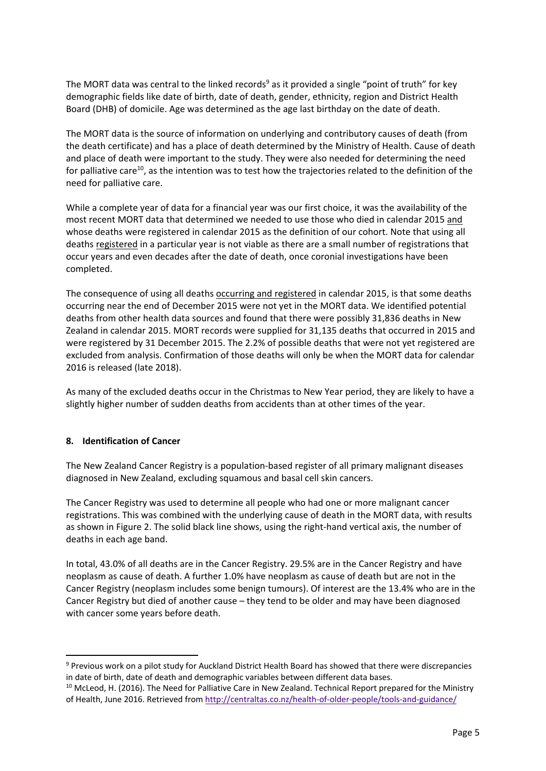The MORT data was central to the linked records<sup>9</sup> as it provided a single "point of truth" for key demographic fields like date of birth, date of death, gender, ethnicity, region and District Health Board (DHB) of domicile. Age was determined as the age last birthday on the date of death.

The MORT data is the source of information on underlying and contributory causes of death (from the death certificate) and has a place of death determined by the Ministry of Health. Cause of death and place of death were important to the study. They were also needed for determining the need for palliative care<sup>10</sup>, as the intention was to test how the trajectories related to the definition of the need for palliative care.

While a complete year of data for a financial year was our first choice, it was the availability of the most recent MORT data that determined we needed to use those who died in calendar 2015 and whose deaths were registered in calendar 2015 as the definition of our cohort. Note that using all deaths registered in a particular year is not viable as there are a small number of registrations that occur years and even decades after the date of death, once coronial investigations have been completed.

The consequence of using all deaths occurring and registered in calendar 2015, is that some deaths occurring near the end of December 2015 were not yet in the MORT data. We identified potential deaths from other health data sources and found that there were possibly 31,836 deaths in New Zealand in calendar 2015. MORT records were supplied for 31,135 deaths that occurred in 2015 and were registered by 31 December 2015. The 2.2% of possible deaths that were not yet registered are excluded from analysis. Confirmation of those deaths will only be when the MORT data for calendar 2016 is released (late 2018).

As many of the excluded deaths occur in the Christmas to New Year period, they are likely to have a slightly higher number of sudden deaths from accidents than at other times of the year.

# **8. Identification of Cancer**

The New Zealand Cancer Registry is a population‐based register of all primary malignant diseases diagnosed in New Zealand, excluding squamous and basal cell skin cancers.

The Cancer Registry was used to determine all people who had one or more malignant cancer registrations. This was combined with the underlying cause of death in the MORT data, with results as shown in Figure 2. The solid black line shows, using the right-hand vertical axis, the number of deaths in each age band.

In total, 43.0% of all deaths are in the Cancer Registry. 29.5% are in the Cancer Registry and have neoplasm as cause of death. A further 1.0% have neoplasm as cause of death but are not in the Cancer Registry (neoplasm includes some benign tumours). Of interest are the 13.4% who are in the Cancer Registry but died of another cause – they tend to be older and may have been diagnosed with cancer some years before death.

<sup>&</sup>lt;sup>9</sup> Previous work on a pilot study for Auckland District Health Board has showed that there were discrepancies in date of birth, date of death and demographic variables between different data bases.

<sup>&</sup>lt;sup>10</sup> McLeod, H. (2016). The Need for Palliative Care in New Zealand. Technical Report prepared for the Ministry of Health, June 2016. Retrieved from http://centraltas.co.nz/health‐of‐older‐people/tools‐and‐guidance/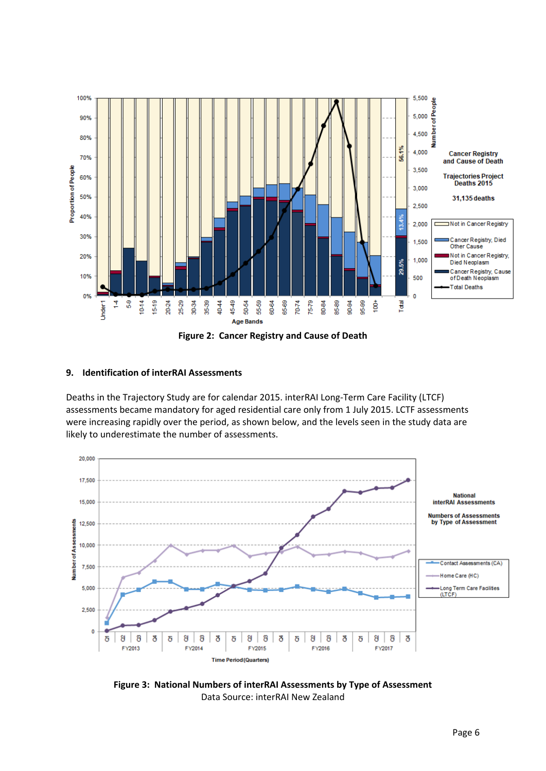

#### **9. Identification of interRAI Assessments**

Deaths in the Trajectory Study are for calendar 2015. interRAI Long-Term Care Facility (LTCF) assessments became mandatory for aged residential care only from 1 July 2015. LCTF assessments were increasing rapidly over the period, as shown below, and the levels seen in the study data are likely to underestimate the number of assessments.



**Figure 3: National Numbers of interRAI Assessments by Type of Assessment**  Data Source: interRAI New Zealand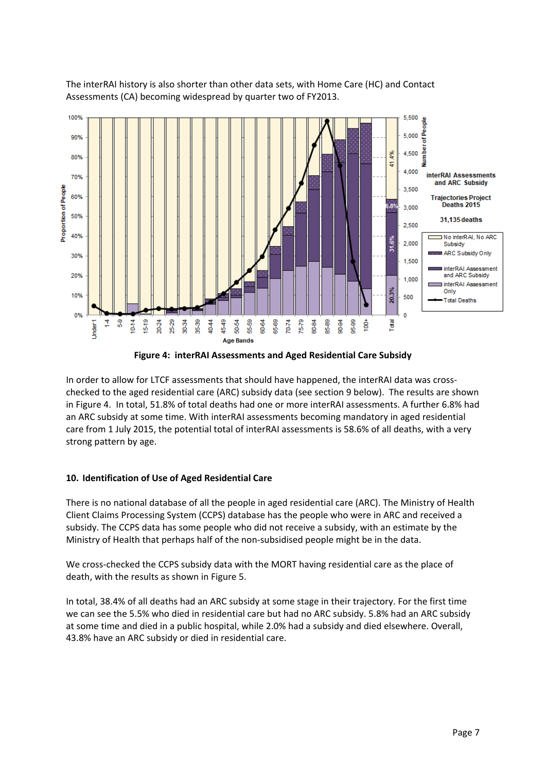



**Figure 4: interRAI Assessments and Aged Residential Care Subsidy** 

In order to allow for LTCF assessments that should have happened, the interRAI data was cross‐ checked to the aged residential care (ARC) subsidy data (see section 9 below). The results are shown in Figure 4. In total, 51.8% of total deaths had one or more interRAI assessments. A further 6.8% had an ARC subsidy at some time. With interRAI assessments becoming mandatory in aged residential care from 1 July 2015, the potential total of interRAI assessments is 58.6% of all deaths, with a very strong pattern by age.

# **10. Identification of Use of Aged Residential Care**

There is no national database of all the people in aged residential care (ARC). The Ministry of Health Client Claims Processing System (CCPS) database has the people who were in ARC and received a subsidy. The CCPS data has some people who did not receive a subsidy, with an estimate by the Ministry of Health that perhaps half of the non‐subsidised people might be in the data.

We cross-checked the CCPS subsidy data with the MORT having residential care as the place of death, with the results as shown in Figure 5.

In total, 38.4% of all deaths had an ARC subsidy at some stage in their trajectory. For the first time we can see the 5.5% who died in residential care but had no ARC subsidy. 5.8% had an ARC subsidy at some time and died in a public hospital, while 2.0% had a subsidy and died elsewhere. Overall, 43.8% have an ARC subsidy or died in residential care.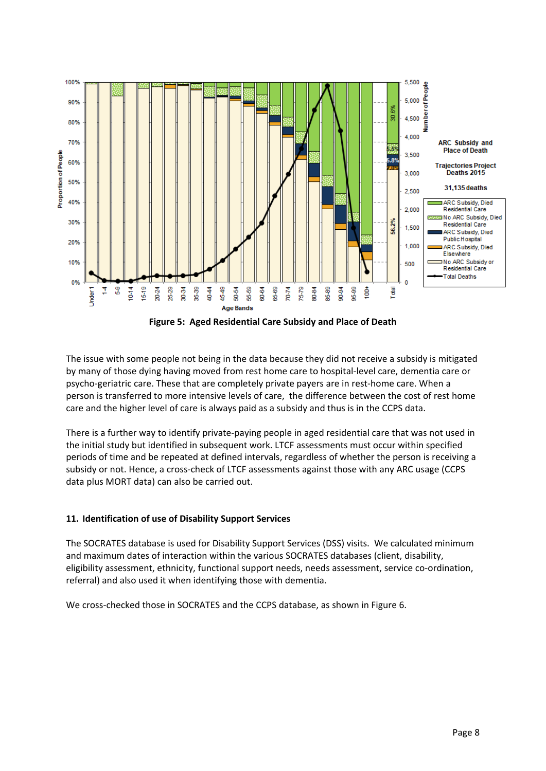

**Figure 5: Aged Residential Care Subsidy and Place of Death** 

The issue with some people not being in the data because they did not receive a subsidy is mitigated by many of those dying having moved from rest home care to hospital‐level care, dementia care or psycho-geriatric care. These that are completely private payers are in rest-home care. When a person is transferred to more intensive levels of care, the difference between the cost of rest home care and the higher level of care is always paid as a subsidy and thus is in the CCPS data.

There is a further way to identify private‐paying people in aged residential care that was not used in the initial study but identified in subsequent work. LTCF assessments must occur within specified periods of time and be repeated at defined intervals, regardless of whether the person is receiving a subsidy or not. Hence, a cross-check of LTCF assessments against those with any ARC usage (CCPS data plus MORT data) can also be carried out.

# **11. Identification of use of Disability Support Services**

The SOCRATES database is used for Disability Support Services (DSS) visits. We calculated minimum and maximum dates of interaction within the various SOCRATES databases (client, disability, eligibility assessment, ethnicity, functional support needs, needs assessment, service co-ordination, referral) and also used it when identifying those with dementia.

We cross-checked those in SOCRATES and the CCPS database, as shown in Figure 6.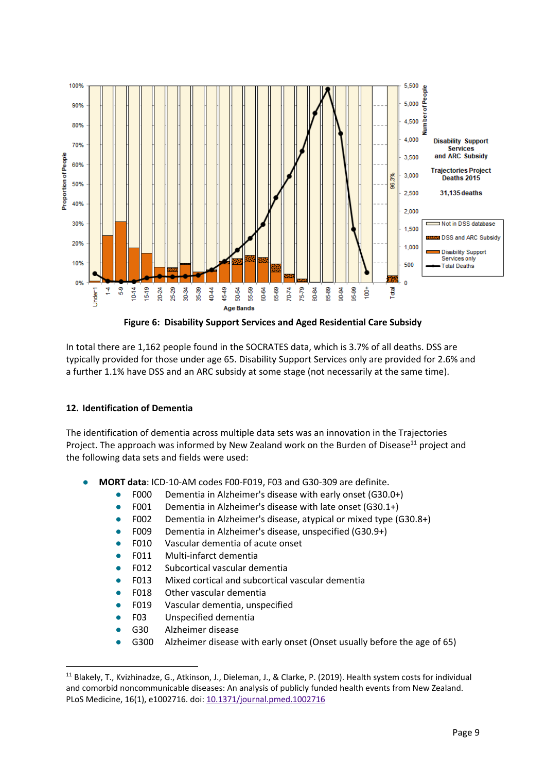

**Figure 6: Disability Support Services and Aged Residential Care Subsidy** 

In total there are 1,162 people found in the SOCRATES data, which is 3.7% of all deaths. DSS are typically provided for those under age 65. Disability Support Services only are provided for 2.6% and a further 1.1% have DSS and an ARC subsidy at some stage (not necessarily at the same time).

# **12. Identification of Dementia**

The identification of dementia across multiple data sets was an innovation in the Trajectories Project. The approach was informed by New Zealand work on the Burden of Disease<sup>11</sup> project and the following data sets and fields were used:

- **MORT data: ICD-10-AM codes F00-F019, F03 and G30-309 are definite.** 
	- F000 Dementia in Alzheimer's disease with early onset (G30.0+)
	- F001 Dementia in Alzheimer's disease with late onset (G30.1+)
	- F002 Dementia in Alzheimer's disease, atypical or mixed type (G30.8+)
	- F009 Dementia in Alzheimer's disease, unspecified (G30.9+)
	- F010 Vascular dementia of acute onset
	- F011 Multi-infarct dementia
	- F012 Subcortical vascular dementia
	- F013 Mixed cortical and subcortical vascular dementia
	- F018 Other vascular dementia
	- F019 Vascular dementia, unspecified
	- F03 Unspecified dementia
	- G30 Alzheimer disease

G300 Alzheimer disease with early onset (Onset usually before the age of 65)

<sup>&</sup>lt;sup>11</sup> Blakely, T., Kvizhinadze, G., Atkinson, J., Dieleman, J., & Clarke, P. (2019). Health system costs for individual and comorbid noncommunicable diseases: An analysis of publicly funded health events from New Zealand. PLoS Medicine, 16(1), e1002716. doi: 10.1371/journal.pmed.1002716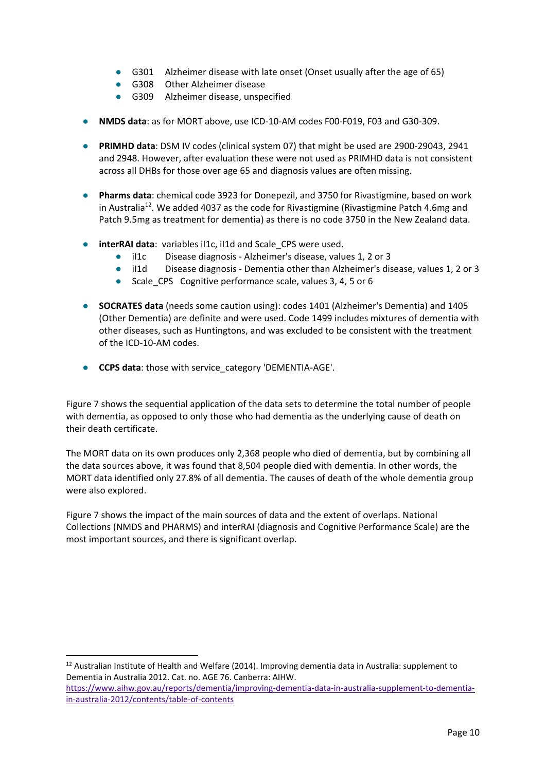- G301 Alzheimer disease with late onset (Onset usually after the age of 65)
- G308 Other Alzheimer disease
- G309 Alzheimer disease, unspecified
- **NMDS data**: as for MORT above, use ICD-10-AM codes F00-F019, F03 and G30-309.
- **PRIMHD data**: DSM IV codes (clinical system 07) that might be used are 2900-29043, 2941 and 2948. However, after evaluation these were not used as PRIMHD data is not consistent across all DHBs for those over age 65 and diagnosis values are often missing.
- **Pharms data**: chemical code 3923 for Donepezil, and 3750 for Rivastigmine, based on work in Australia<sup>12</sup>. We added 4037 as the code for Rivastigmine (Rivastigmine Patch 4.6mg and Patch 9.5mg as treatment for dementia) as there is no code 3750 in the New Zealand data.
- **interRAI data**: variables iI1c, iI1d and Scale\_CPS were used.
	- il1c Disease diagnosis Alzheimer's disease, values 1, 2 or 3
	- il1d Disease diagnosis Dementia other than Alzheimer's disease, values 1, 2 or 3
	- Scale CPS Cognitive performance scale, values 3, 4, 5 or 6
- **SOCRATES data** (needs some caution using): codes 1401 (Alzheimer's Dementia) and 1405 (Other Dementia) are definite and were used. Code 1499 includes mixtures of dementia with other diseases, such as Huntingtons, and was excluded to be consistent with the treatment of the ICD‐10‐AM codes.
- **CCPS data**: those with service category 'DEMENTIA-AGE'.

Figure 7 shows the sequential application of the data sets to determine the total number of people with dementia, as opposed to only those who had dementia as the underlying cause of death on their death certificate.

The MORT data on its own produces only 2,368 people who died of dementia, but by combining all the data sources above, it was found that 8,504 people died with dementia. In other words, the MORT data identified only 27.8% of all dementia. The causes of death of the whole dementia group were also explored.

Figure 7 shows the impact of the main sources of data and the extent of overlaps. National Collections (NMDS and PHARMS) and interRAI (diagnosis and Cognitive Performance Scale) are the most important sources, and there is significant overlap.

<sup>12</sup> Australian Institute of Health and Welfare (2014). Improving dementia data in Australia: supplement to Dementia in Australia 2012. Cat. no. AGE 76. Canberra: AIHW.

https://www.aihw.gov.au/reports/dementia/improving‐dementia‐data‐in‐australia‐supplement‐to‐dementia‐ in‐australia‐2012/contents/table‐of‐contents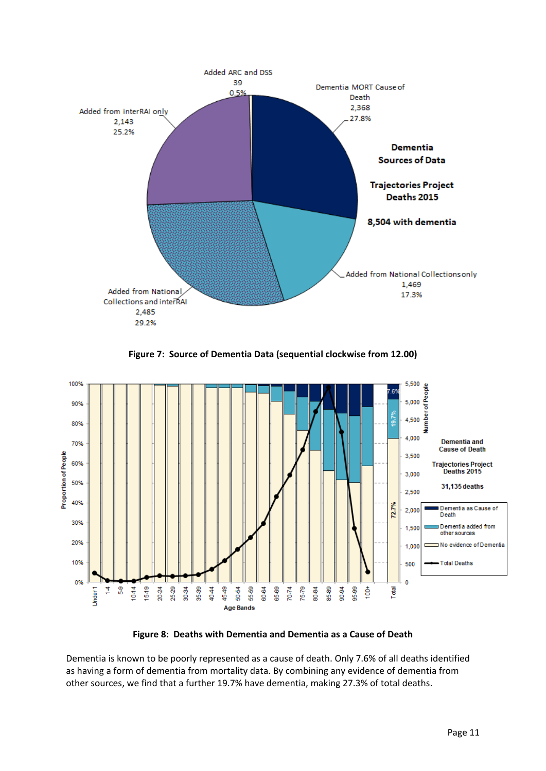

**Figure 7: Source of Dementia Data (sequential clockwise from 12.00)** 



**Figure 8: Deaths with Dementia and Dementia as a Cause of Death** 

Dementia is known to be poorly represented as a cause of death. Only 7.6% of all deaths identified as having a form of dementia from mortality data. By combining any evidence of dementia from other sources, we find that a further 19.7% have dementia, making 27.3% of total deaths.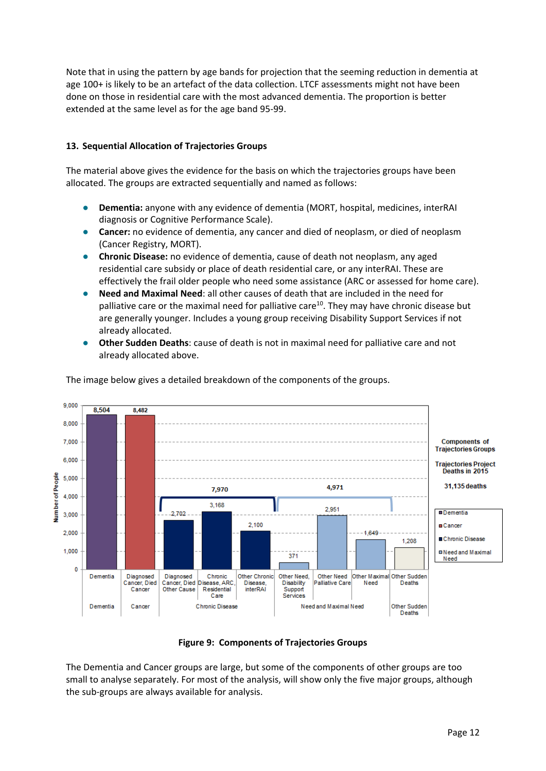Note that in using the pattern by age bands for projection that the seeming reduction in dementia at age 100+ is likely to be an artefact of the data collection. LTCF assessments might not have been done on those in residential care with the most advanced dementia. The proportion is better extended at the same level as for the age band 95‐99.

#### **13. Sequential Allocation of Trajectories Groups**

The material above gives the evidence for the basis on which the trajectories groups have been allocated. The groups are extracted sequentially and named as follows:

- **Dementia:** anyone with any evidence of dementia (MORT, hospital, medicines, interRAI diagnosis or Cognitive Performance Scale).
- **Cancer:** no evidence of dementia, any cancer and died of neoplasm, or died of neoplasm (Cancer Registry, MORT).
- **Chronic Disease:** no evidence of dementia, cause of death not neoplasm, any aged residential care subsidy or place of death residential care, or any interRAI. These are effectively the frail older people who need some assistance (ARC or assessed for home care).
- **Need and Maximal Need**: all other causes of death that are included in the need for palliative care or the maximal need for palliative care<sup>10</sup>. They may have chronic disease but are generally younger. Includes a young group receiving Disability Support Services if not already allocated.
- **Other Sudden Deaths**: cause of death is not in maximal need for palliative care and not already allocated above.



The image below gives a detailed breakdown of the components of the groups.

#### **Figure 9: Components of Trajectories Groups**

The Dementia and Cancer groups are large, but some of the components of other groups are too small to analyse separately. For most of the analysis, will show only the five major groups, although the sub‐groups are always available for analysis.